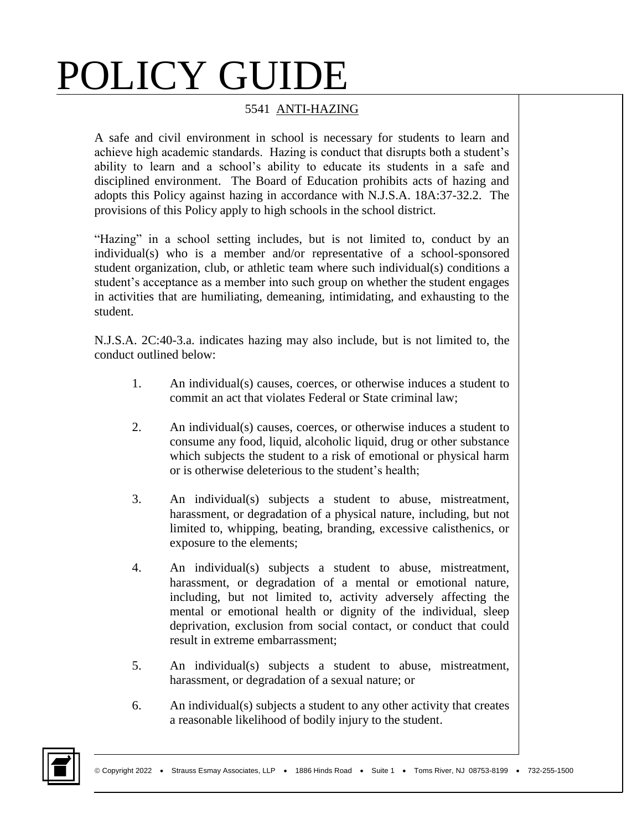## POLICY GUIDE

## 5541 ANTI-HAZING

A safe and civil environment in school is necessary for students to learn and achieve high academic standards. Hazing is conduct that disrupts both a student's ability to learn and a school's ability to educate its students in a safe and disciplined environment. The Board of Education prohibits acts of hazing and adopts this Policy against hazing in accordance with N.J.S.A. 18A:37-32.2. The provisions of this Policy apply to high schools in the school district.

"Hazing" in a school setting includes, but is not limited to, conduct by an individual(s) who is a member and/or representative of a school-sponsored student organization, club, or athletic team where such individual(s) conditions a student's acceptance as a member into such group on whether the student engages in activities that are humiliating, demeaning, intimidating, and exhausting to the student.

N.J.S.A. 2C:40-3.a. indicates hazing may also include, but is not limited to, the conduct outlined below:

- 1. An individual(s) causes, coerces, or otherwise induces a student to commit an act that violates Federal or State criminal law;
- 2. An individual(s) causes, coerces, or otherwise induces a student to consume any food, liquid, alcoholic liquid, drug or other substance which subjects the student to a risk of emotional or physical harm or is otherwise deleterious to the student's health;
- 3. An individual(s) subjects a student to abuse, mistreatment, harassment, or degradation of a physical nature, including, but not limited to, whipping, beating, branding, excessive calisthenics, or exposure to the elements;
- 4. An individual(s) subjects a student to abuse, mistreatment, harassment, or degradation of a mental or emotional nature, including, but not limited to, activity adversely affecting the mental or emotional health or dignity of the individual, sleep deprivation, exclusion from social contact, or conduct that could result in extreme embarrassment;
- 5. An individual(s) subjects a student to abuse, mistreatment, harassment, or degradation of a sexual nature; or
- 6. An individual(s) subjects a student to any other activity that creates a reasonable likelihood of bodily injury to the student.

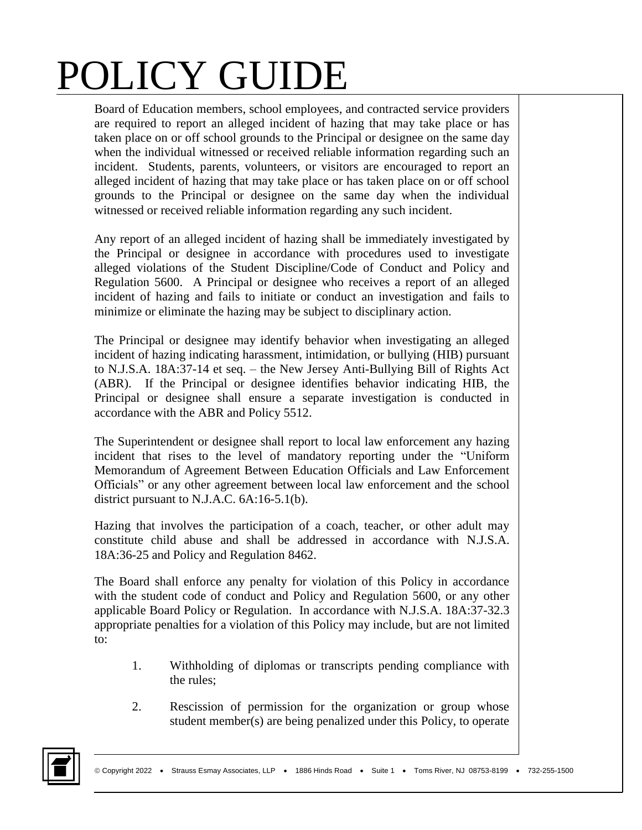## POLICY GUIDE

Board of Education members, school employees, and contracted service providers are required to report an alleged incident of hazing that may take place or has taken place on or off school grounds to the Principal or designee on the same day when the individual witnessed or received reliable information regarding such an incident. Students, parents, volunteers, or visitors are encouraged to report an alleged incident of hazing that may take place or has taken place on or off school grounds to the Principal or designee on the same day when the individual witnessed or received reliable information regarding any such incident.

Any report of an alleged incident of hazing shall be immediately investigated by the Principal or designee in accordance with procedures used to investigate alleged violations of the Student Discipline/Code of Conduct and Policy and Regulation 5600. A Principal or designee who receives a report of an alleged incident of hazing and fails to initiate or conduct an investigation and fails to minimize or eliminate the hazing may be subject to disciplinary action.

The Principal or designee may identify behavior when investigating an alleged incident of hazing indicating harassment, intimidation, or bullying (HIB) pursuant to N.J.S.A. 18A:37-14 et seq. – the New Jersey Anti-Bullying Bill of Rights Act (ABR). If the Principal or designee identifies behavior indicating HIB, the Principal or designee shall ensure a separate investigation is conducted in accordance with the ABR and Policy 5512.

The Superintendent or designee shall report to local law enforcement any hazing incident that rises to the level of mandatory reporting under the "Uniform Memorandum of Agreement Between Education Officials and Law Enforcement Officials" or any other agreement between local law enforcement and the school district pursuant to N.J.A.C. 6A:16-5.1(b).

Hazing that involves the participation of a coach, teacher, or other adult may constitute child abuse and shall be addressed in accordance with N.J.S.A. 18A:36-25 and Policy and Regulation 8462.

The Board shall enforce any penalty for violation of this Policy in accordance with the student code of conduct and Policy and Regulation 5600, or any other applicable Board Policy or Regulation. In accordance with N.J.S.A. 18A:37-32.3 appropriate penalties for a violation of this Policy may include, but are not limited to:

- 1. Withholding of diplomas or transcripts pending compliance with the rules;
- 2. Rescission of permission for the organization or group whose student member(s) are being penalized under this Policy, to operate